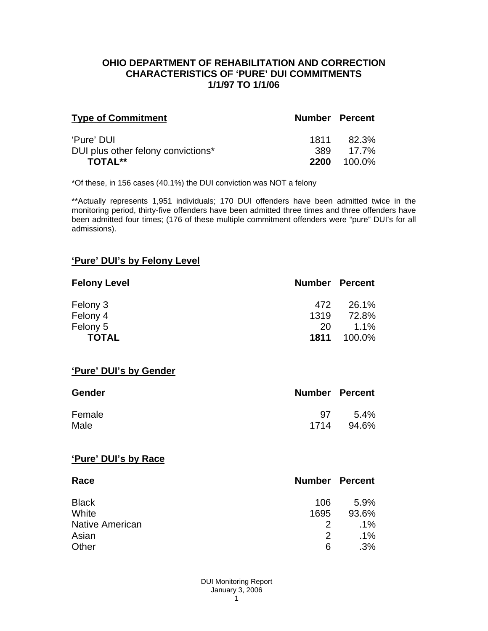#### **OHIO DEPARTMENT OF REHABILITATION AND CORRECTION CHARACTERISTICS OF 'PURE' DUI COMMITMENTS 1/1/97 TO 1/1/06**

| <b>Type of Commitment</b>          | <b>Number Percent</b> |        |
|------------------------------------|-----------------------|--------|
| 'Pure' DUI                         | 1811                  | 82.3%  |
| DUI plus other felony convictions* | 389                   | 17.7%  |
| <b>TOTAL**</b>                     | 2200                  | 100.0% |

\*Of these, in 156 cases (40.1%) the DUI conviction was NOT a felony

\*\*Actually represents 1,951 individuals; 170 DUI offenders have been admitted twice in the monitoring period, thirty-five offenders have been admitted three times and three offenders have been admitted four times; (176 of these multiple commitment offenders were "pure" DUI's for all admissions).

### **'Pure' DUI's by Felony Level**

| <b>Felony Level</b> | <b>Number Percent</b> |         |
|---------------------|-----------------------|---------|
| Felony 3            | 472                   | 26.1%   |
| Felony 4            | 1319                  | 72.8%   |
| Felony 5            | 20                    | $1.1\%$ |
| <b>TOTAL</b>        | 1811                  | 100.0%  |

#### **'Pure' DUI's by Gender**

| <b>Gender</b> | <b>Number Percent</b> |         |
|---------------|-----------------------|---------|
| Female        | 97                    | $5.4\%$ |
| Male          | 1714                  | 94.6%   |

#### **'Pure' DUI's by Race**

| Race                   | <b>Number Percent</b> |        |
|------------------------|-----------------------|--------|
| <b>Black</b>           | 106                   | 5.9%   |
| White                  | 1695                  | 93.6%  |
| <b>Native American</b> | 2                     | $.1\%$ |
| Asian                  | 2                     | $.1\%$ |
| Other                  | 6                     | .3%    |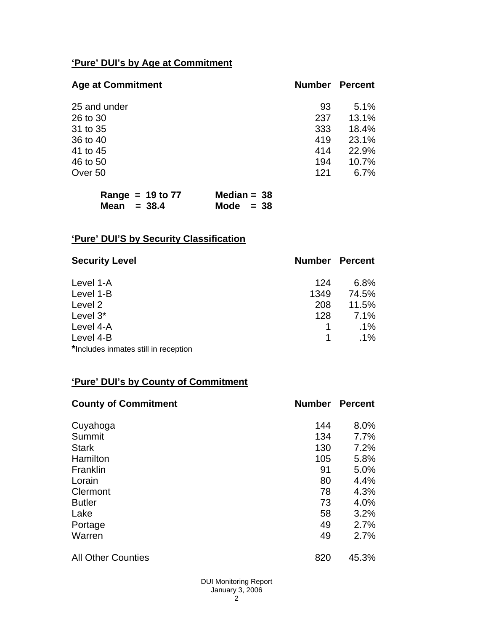# **'Pure' DUI's by Age at Commitment**

| <b>Age at Commitment</b> | <b>Number</b> | <b>Percent</b> |
|--------------------------|---------------|----------------|
| 25 and under             | 93            | 5.1%           |
| 26 to 30                 | 237           | 13.1%          |
| 31 to 35                 | 333           | 18.4%          |
| 36 to 40                 | 419           | 23.1%          |
| 41 to 45                 | 414           | 22.9%          |
| 46 to 50                 | 194           | 10.7%          |
| Over 50                  | 121           | 6.7%           |

| Range = $19$ to $77$ | Median = $38$ |
|----------------------|---------------|
| Mean $=$ 38.4        | Mode $= 38$   |

# **'Pure' DUI'S by Security Classification**

| <b>Security Level</b>                | <b>Number Percent</b> |        |
|--------------------------------------|-----------------------|--------|
| Level 1-A                            | 124                   | 6.8%   |
| Level 1-B                            | 1349                  | 74.5%  |
| Level 2                              | 208                   | 11.5%  |
| Level 3*                             | 128                   | 7.1%   |
| Level 4-A                            |                       | $.1\%$ |
| Level 4-B                            |                       | $.1\%$ |
| *Includes inmates still in reception |                       |        |

### **'Pure' DUI's by County of Commitment**

| <b>County of Commitment</b> | <b>Number</b> | <b>Percent</b> |
|-----------------------------|---------------|----------------|
| Cuyahoga                    | 144           | 8.0%           |
| Summit                      | 134           | 7.7%           |
| <b>Stark</b>                | 130           | 7.2%           |
| Hamilton                    | 105           | 5.8%           |
| Franklin                    | 91            | 5.0%           |
| Lorain                      | 80            | 4.4%           |
| Clermont                    | 78            | 4.3%           |
| <b>Butler</b>               | 73            | 4.0%           |
| Lake                        | 58            | 3.2%           |
| Portage                     | 49            | 2.7%           |
| Warren                      | 49            | 2.7%           |
| <b>All Other Counties</b>   | 820           | 45.3%          |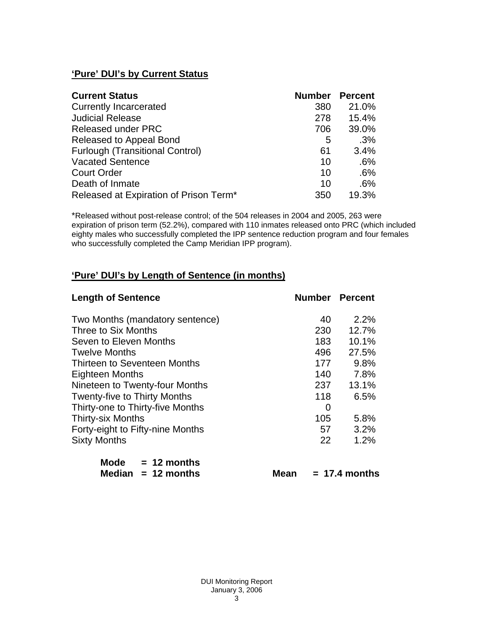## **'Pure' DUI's by Current Status**

| <b>Current Status</b>                  | <b>Number</b> | <b>Percent</b> |
|----------------------------------------|---------------|----------------|
| <b>Currently Incarcerated</b>          | 380           | 21.0%          |
| <b>Judicial Release</b>                | 278           | 15.4%          |
| <b>Released under PRC</b>              | 706           | 39.0%          |
| Released to Appeal Bond                | 5             | .3%            |
| <b>Furlough (Transitional Control)</b> | 61            | 3.4%           |
| <b>Vacated Sentence</b>                | 10            | .6%            |
| <b>Court Order</b>                     | 10            | .6%            |
| Death of Inmate                        | 10            | .6%            |
| Released at Expiration of Prison Term* | 350           | 19.3%          |

\*Released without post-release control; of the 504 releases in 2004 and 2005, 263 were expiration of prison term (52.2%), compared with 110 inmates released onto PRC (which included eighty males who successfully completed the IPP sentence reduction program and four females who successfully completed the Camp Meridian IPP program).

### **'Pure' DUI's by Length of Sentence (in months)**

| <b>Length of Sentence</b>           |     | <b>Number Percent</b> |
|-------------------------------------|-----|-----------------------|
| Two Months (mandatory sentence)     | 40  | 2.2%                  |
| Three to Six Months                 | 230 | 12.7%                 |
| Seven to Eleven Months              | 183 | 10.1%                 |
| <b>Twelve Months</b>                | 496 | 27.5%                 |
| Thirteen to Seventeen Months        | 177 | 9.8%                  |
| <b>Eighteen Months</b>              | 140 | 7.8%                  |
| Nineteen to Twenty-four Months      | 237 | 13.1%                 |
| <b>Twenty-five to Thirty Months</b> | 118 | 6.5%                  |
| Thirty-one to Thirty-five Months    | 0   |                       |
| <b>Thirty-six Months</b>            | 105 | 5.8%                  |
| Forty-eight to Fifty-nine Months    | 57  | 3.2%                  |
| <b>Sixty Months</b>                 | 22  | 1.2%                  |
| Mode<br>$= 12$ months               |     |                       |

|  | Median $= 12$ months | <b>Mean</b> | $= 17.4$ months |
|--|----------------------|-------------|-----------------|
|  |                      |             |                 |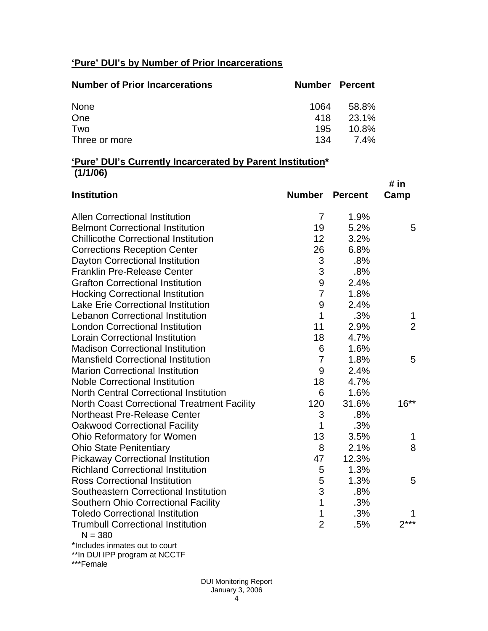# **'Pure' DUI's by Number of Prior Incarcerations**

| <b>Number of Prior Incarcerations</b> | Number Percent |          |
|---------------------------------------|----------------|----------|
| None                                  | 1064           | 58.8%    |
| One                                   | 418            | 23.1%    |
| Two                                   | 195            | $10.8\%$ |
| Three or more                         | 134            | 7.4%     |

#### **'Pure' DUI's Currently Incarcerated by Parent Institution\* (1/1/06)**

| <b>Institution</b>                                    | <b>Number Percent</b> |       | # in<br>Camp   |
|-------------------------------------------------------|-----------------------|-------|----------------|
| <b>Allen Correctional Institution</b>                 | 7                     | 1.9%  |                |
| <b>Belmont Correctional Institution</b>               | 19                    | 5.2%  | 5              |
| <b>Chillicothe Correctional Institution</b>           | 12                    | 3.2%  |                |
| <b>Corrections Reception Center</b>                   | 26                    | 6.8%  |                |
| Dayton Correctional Institution                       | 3                     | .8%   |                |
| <b>Franklin Pre-Release Center</b>                    | 3                     | .8%   |                |
| <b>Grafton Correctional Institution</b>               | 9                     | 2.4%  |                |
| <b>Hocking Correctional Institution</b>               | $\overline{7}$        | 1.8%  |                |
| <b>Lake Erie Correctional Institution</b>             | 9                     | 2.4%  |                |
| <b>Lebanon Correctional Institution</b>               | 1                     | .3%   | 1              |
| <b>London Correctional Institution</b>                | 11                    | 2.9%  | $\overline{2}$ |
| <b>Lorain Correctional Institution</b>                | 18                    | 4.7%  |                |
| <b>Madison Correctional Institution</b>               | 6                     | 1.6%  |                |
| <b>Mansfield Correctional Institution</b>             | $\overline{7}$        | 1.8%  | 5              |
| <b>Marion Correctional Institution</b>                | 9                     | 2.4%  |                |
| <b>Noble Correctional Institution</b>                 | 18                    | 4.7%  |                |
| <b>North Central Correctional Institution</b>         | 6                     | 1.6%  |                |
| <b>North Coast Correctional Treatment Facility</b>    | 120                   | 31.6% | $16**$         |
| Northeast Pre-Release Center                          | 3                     | .8%   |                |
| <b>Oakwood Correctional Facility</b>                  | 1                     | .3%   |                |
| Ohio Reformatory for Women                            | 13                    | 3.5%  | 1              |
| <b>Ohio State Penitentiary</b>                        | 8                     | 2.1%  | 8              |
| <b>Pickaway Correctional Institution</b>              | 47                    | 12.3% |                |
| <b>Richland Correctional Institution</b>              | 5                     | 1.3%  |                |
| <b>Ross Correctional Institution</b>                  | 5                     | 1.3%  | 5              |
| Southeastern Correctional Institution                 | 3                     | .8%   |                |
| <b>Southern Ohio Correctional Facility</b>            | $\mathbf{1}$          | .3%   |                |
| <b>Toledo Correctional Institution</b>                | 1                     | .3%   |                |
| <b>Trumbull Correctional Institution</b><br>$N = 380$ | $\overline{2}$        | .5%   | $2***$         |
| *Includes inmates out to court                        |                       |       |                |

\*\*In DUI IPP program at NCCTF

\*\*\*Female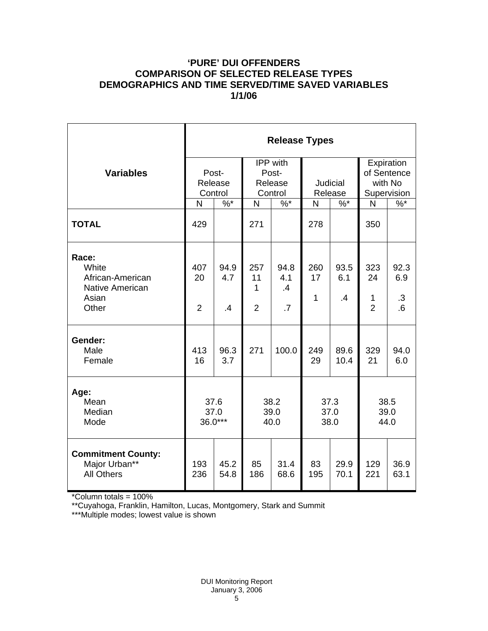### **'PURE' DUI OFFENDERS COMPARISON OF SELECTED RELEASE TYPES DEMOGRAPHICS AND TIME SERVED/TIME SAVED VARIABLES 1/1/06**

|                                                                         | <b>Release Types</b>        |                   |                                         |                                      |                            |                              |                                                     |                          |  |
|-------------------------------------------------------------------------|-----------------------------|-------------------|-----------------------------------------|--------------------------------------|----------------------------|------------------------------|-----------------------------------------------------|--------------------------|--|
| <b>Variables</b>                                                        | Post-<br>Release<br>Control |                   | IPP with<br>Post-<br>Release<br>Control |                                      | <b>Judicial</b><br>Release |                              | Expiration<br>of Sentence<br>with No<br>Supervision |                          |  |
|                                                                         | N                           | $\%$ *            | N                                       | $\%$ *                               | N                          | $\%$ *                       | N                                                   | $\%$                     |  |
| <b>TOTAL</b>                                                            | 429                         |                   | 271                                     |                                      | 278                        |                              | 350                                                 |                          |  |
| Race:<br>White<br>African-American<br>Native American<br>Asian<br>Other | 407<br>20<br>$\overline{2}$ | 94.9<br>4.7<br>.4 | 257<br>11<br>1<br>$\overline{2}$        | 94.8<br>4.1<br>.4<br>$\overline{.7}$ | 260<br>17<br>$\mathbf{1}$  | 93.5<br>6.1<br>$\mathbf{.4}$ | 323<br>24<br>1<br>$\overline{2}$                    | 92.3<br>6.9<br>.3<br>6.6 |  |
| Gender:<br>Male<br>Female                                               | 413<br>16                   | 96.3<br>3.7       | 271                                     | 100.0                                | 249<br>29                  | 89.6<br>10.4                 | 329<br>21                                           | 94.0<br>6.0              |  |
| Age:<br>Mean<br>Median<br>Mode                                          | 37.6<br>37.0<br>36.0***     |                   | 38.2<br>39.0<br>40.0                    |                                      | 37.3<br>37.0<br>38.0       |                              | 38.5<br>39.0<br>44.0                                |                          |  |
| <b>Commitment County:</b><br>Major Urban**<br><b>All Others</b>         | 193<br>236                  | 45.2<br>54.8      | 85<br>186                               | 31.4<br>68.6                         | 83<br>195                  | 29.9<br>70.1                 | 129<br>221                                          | 36.9<br>63.1             |  |

\*Column totals = 100%

\*\*Cuyahoga, Franklin, Hamilton, Lucas, Montgomery, Stark and Summit

\*\*\*Multiple modes; lowest value is shown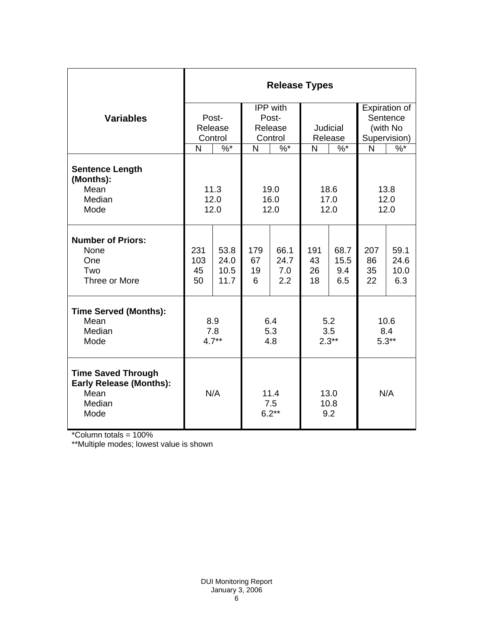|                                                                                       | <b>Release Types</b>        |                              |                                         |                            |                       |                            |                                                       |                             |
|---------------------------------------------------------------------------------------|-----------------------------|------------------------------|-----------------------------------------|----------------------------|-----------------------|----------------------------|-------------------------------------------------------|-----------------------------|
| <b>Variables</b>                                                                      | Post-<br>Release<br>Control |                              | IPP with<br>Post-<br>Release<br>Control |                            | Judicial<br>Release   |                            | Expiration of<br>Sentence<br>(with No<br>Supervision) |                             |
|                                                                                       | N                           | $\%^{*}$                     | N                                       | $\%$ *                     |                       | N<br>$\%$ *                |                                                       | $\frac{9}{6}$               |
| <b>Sentence Length</b><br>(Months):<br>Mean<br>Median<br>Mode                         | 11.3<br>12.0<br>12.0        |                              | 19.0<br>16.0<br>12.0                    |                            | 18.6<br>17.0<br>12.0  |                            | 13.8<br>12.0<br>12.0                                  |                             |
| <b>Number of Priors:</b><br>None<br>One<br>Two<br>Three or More                       | 231<br>103<br>45<br>50      | 53.8<br>24.0<br>10.5<br>11.7 | 179<br>67<br>19<br>6                    | 66.1<br>24.7<br>7.0<br>2.2 | 191<br>43<br>26<br>18 | 68.7<br>15.5<br>9.4<br>6.5 | 207<br>86<br>35<br>22                                 | 59.1<br>24.6<br>10.0<br>6.3 |
| <b>Time Served (Months):</b><br>Mean<br>Median<br>Mode                                | 8.9<br>7.8<br>$4.7**$       |                              | 6.4<br>5.3<br>4.8                       |                            | 5.2<br>3.5<br>$2.3**$ |                            | 10.6<br>8.4<br>$5.3**$                                |                             |
| <b>Time Saved Through</b><br><b>Early Release (Months):</b><br>Mean<br>Median<br>Mode | N/A                         |                              | 11.4<br>7.5<br>$6.2**$                  |                            | 13.0<br>10.8<br>9.2   |                            | N/A                                                   |                             |

\*Column totals = 100%

\*\*Multiple modes; lowest value is shown